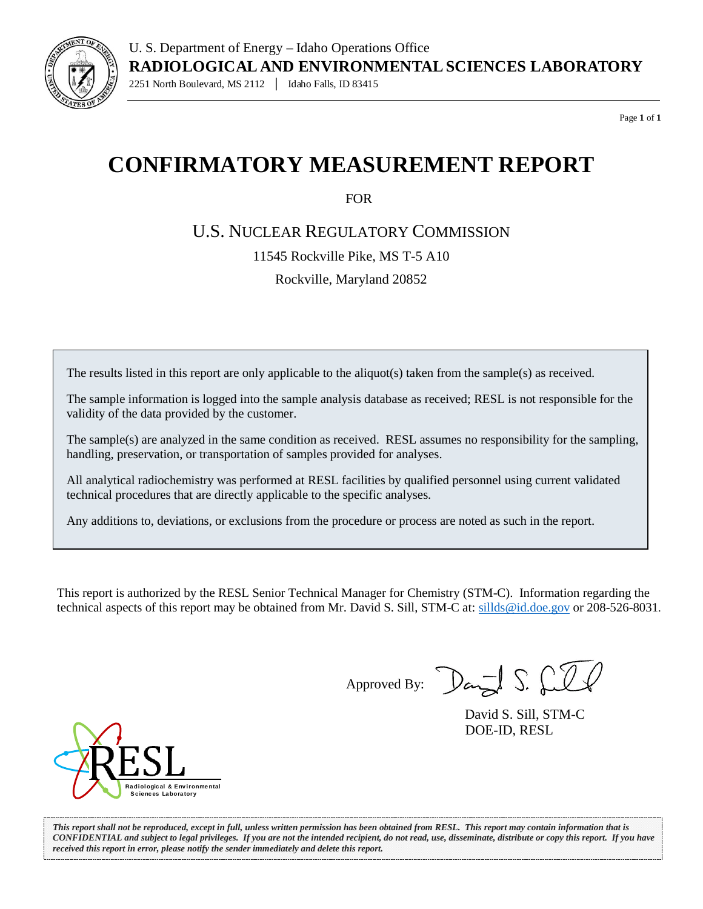

Page **1** of **1**

## **CONFIRMATORY MEASUREMENT REPORT**

FOR

U.S. NUCLEAR REGULATORY COMMISSION

11545 Rockville Pike, MS T-5 A10

Rockville, Maryland 20852

The results listed in this report are only applicable to the aliquot(s) taken from the sample(s) as received.

The sample information is logged into the sample analysis database as received; RESL is not responsible for the validity of the data provided by the customer.

The sample(s) are analyzed in the same condition as received. RESL assumes no responsibility for the sampling, handling, preservation, or transportation of samples provided for analyses.

All analytical radiochemistry was performed at RESL facilities by qualified personnel using current validated technical procedures that are directly applicable to the specific analyses.

Any additions to, deviations, or exclusions from the procedure or process are noted as such in the report.

This report is authorized by the RESL Senior Technical Manager for Chemistry (STM-C). Information regarding the technical aspects of this report may be obtained from Mr. David S. Sill, STM-C at[: sillds@id.doe.gov](mailto:sillds@id.doe.gov) or 208-526-8031.

Approved By:  $\sum_{\alpha}$   $\sum_{\alpha}$ 

David S. Sill, STM-C DOE-ID, RESL



*This report shall not be reproduced, except in full, unless written permission has been obtained from RESL. This report may contain information that is CONFIDENTIAL and subject to legal privileges. If you are not the intended recipient, do not read, use, disseminate, distribute or copy this report. If you have received this report in error, please notify the sender immediately and delete this report.*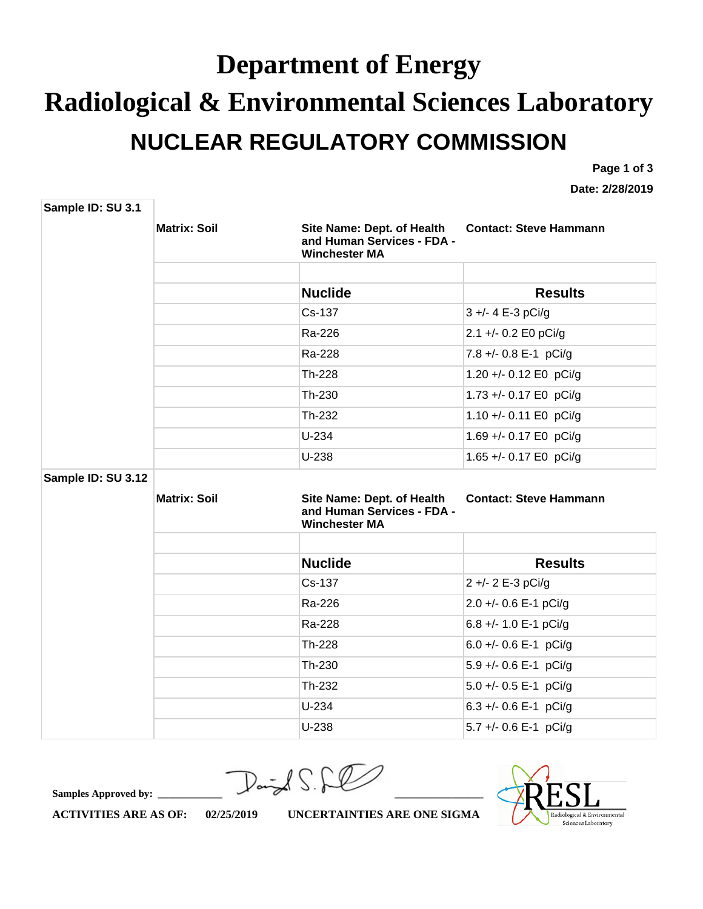## **Department of Energy Radiological & Environmental Sciences Laboratory NUCLEAR REGULATORY COMMISSION**

**Page 1 of 3** 

**Date: 2/28/2019**

| Sample ID: SU 3.1  |                     |                                                                                  |                               |
|--------------------|---------------------|----------------------------------------------------------------------------------|-------------------------------|
|                    | <b>Matrix: Soil</b> | Site Name: Dept. of Health<br>and Human Services - FDA -<br><b>Winchester MA</b> | <b>Contact: Steve Hammann</b> |
|                    |                     |                                                                                  |                               |
|                    |                     | <b>Nuclide</b>                                                                   | <b>Results</b>                |
|                    |                     | Cs-137                                                                           | 3 +/- 4 E-3 pCi/g             |
|                    |                     | Ra-226                                                                           | 2.1 +/- 0.2 E0 pCi/g          |
|                    |                     | Ra-228                                                                           | 7.8 +/- 0.8 E-1 pCi/g         |
|                    |                     | Th-228                                                                           | 1.20 +/- 0.12 E0 pCi/g        |
|                    |                     | Th-230                                                                           | 1.73 +/- 0.17 E0 pCi/g        |
|                    |                     | Th-232                                                                           | 1.10 +/- 0.11 E0 pCi/g        |
|                    |                     | $U-234$                                                                          | 1.69 +/- 0.17 E0 pCi/g        |
|                    |                     | $U-238$                                                                          | 1.65 +/- 0.17 E0 pCi/g        |
| Sample ID: SU 3.12 |                     |                                                                                  |                               |
|                    | <b>Matrix: Soil</b> | Site Name: Dept. of Health<br>and Human Services - FDA -<br><b>Winchester MA</b> | <b>Contact: Steve Hammann</b> |
|                    |                     |                                                                                  |                               |
|                    |                     | <b>Nuclide</b>                                                                   | <b>Results</b>                |
|                    |                     | Cs-137                                                                           | 2 +/- 2 E-3 pCi/g             |
|                    |                     | Ra-226                                                                           | 2.0 +/- 0.6 E-1 pCi/g         |
|                    |                     | Ra-228                                                                           | 6.8 +/- 1.0 E-1 pCi/g         |
|                    |                     | Th-228                                                                           | 6.0 +/- 0.6 E-1 pCi/g         |
|                    |                     | Th-230                                                                           | 5.9 +/- 0.6 E-1 pCi/g         |
|                    |                     | Th-232                                                                           | 5.0 +/- 0.5 E-1 pCi/g         |
|                    |                     | $U-234$                                                                          | 6.3 +/- 0.6 E-1 pCi/g         |
|                    |                     | $U-238$                                                                          | 5.7 +/- 0.6 E-1 pCi/g         |

**Samples Approved by: \_\_\_\_\_\_\_\_\_\_\_\_\_\_\_\_\_\_\_\_\_\_\_\_\_\_\_\_\_\_\_\_\_\_\_\_\_\_\_\_\_\_\_\_\_\_\_\_\_\_\_\_\_\_\_\_\_\_\_\_\_\_\_**

diological & Environmental Sciences Laboratory

**ACTIVITIES ARE AS OF: 02/25/2019 UNCERTAINTIES ARE ONE SIGMA**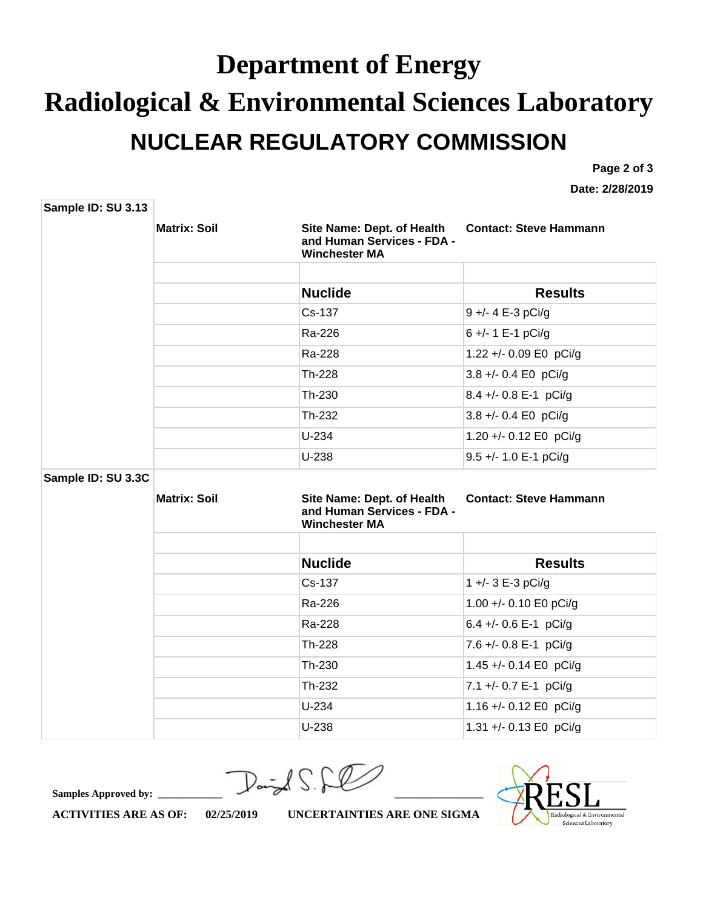## **Department of Energy Radiological & Environmental Sciences Laboratory NUCLEAR REGULATORY COMMISSION**

**Page 2 of 3**

**Date: 2/28/2019**

| Sample ID: SU 3.13 |                     |                                                                                  |                               |
|--------------------|---------------------|----------------------------------------------------------------------------------|-------------------------------|
|                    | <b>Matrix: Soil</b> | Site Name: Dept. of Health<br>and Human Services - FDA -<br><b>Winchester MA</b> | <b>Contact: Steve Hammann</b> |
|                    |                     |                                                                                  |                               |
|                    |                     | <b>Nuclide</b>                                                                   | <b>Results</b>                |
|                    |                     | Cs-137                                                                           | 9 +/- 4 E-3 pCi/g             |
|                    |                     | Ra-226                                                                           | 6 +/- 1 E-1 pCi/g             |
|                    |                     | Ra-228                                                                           | 1.22 +/- 0.09 E0 pCi/g        |
|                    |                     | Th-228                                                                           | 3.8 +/- 0.4 E0 pCi/g          |
|                    |                     | Th-230                                                                           | 8.4 +/- 0.8 E-1 pCi/g         |
|                    |                     | Th-232                                                                           | 3.8 +/- 0.4 E0 pCi/g          |
|                    |                     | $U-234$                                                                          | 1.20 +/- 0.12 E0 pCi/g        |
|                    |                     | $U-238$                                                                          | 9.5 +/- 1.0 E-1 pCi/g         |
| Sample ID: SU 3.3C |                     |                                                                                  |                               |
|                    | <b>Matrix: Soil</b> | Site Name: Dept. of Health<br>and Human Services - FDA -<br><b>Winchester MA</b> | <b>Contact: Steve Hammann</b> |
|                    |                     |                                                                                  |                               |
|                    |                     | <b>Nuclide</b>                                                                   | <b>Results</b>                |
|                    |                     | Cs-137                                                                           | 1 +/- 3 E-3 pCi/g             |
|                    |                     | Ra-226                                                                           | 1.00 +/- 0.10 E0 pCi/g        |
|                    |                     | Ra-228                                                                           | 6.4 +/- 0.6 E-1 pCi/g         |
|                    |                     | Th-228                                                                           | 7.6 +/- 0.8 E-1 pCi/g         |
|                    |                     | Th-230                                                                           | 1.45 +/- 0.14 E0 pCi/g        |
|                    |                     | Th-232                                                                           | 7.1 +/- 0.7 E-1 pCi/g         |
|                    |                     | $U-234$                                                                          | 1.16 +/- 0.12 E0 pCi/g        |
|                    |                     | $U-238$                                                                          | 1.31 +/- 0.13 E0 pCi/g        |

**Samples Approved by: \_\_\_\_\_\_\_\_\_\_\_\_\_\_\_\_\_\_\_\_\_\_\_\_\_\_\_\_\_\_\_\_\_\_\_\_\_\_\_\_\_\_\_\_\_\_\_\_\_\_\_\_\_\_\_\_\_\_\_\_\_\_\_**



**ACTIVITIES ARE AS OF: 02/25/2019 UNCERTAINTIES ARE ONE SIGMA**